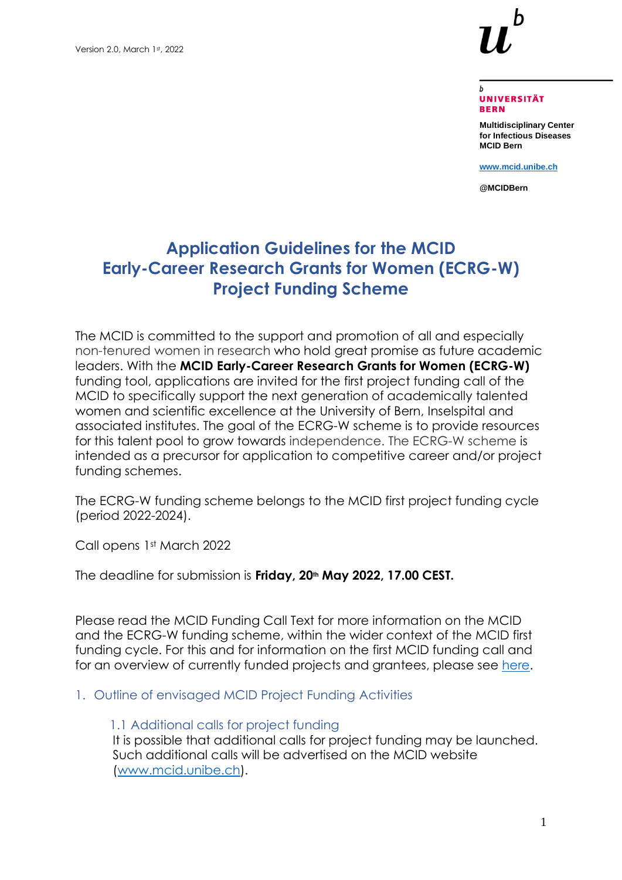

#### **UNIVERSITÄT BERN**

**Multidisciplinary Center for Infectious Diseases MCID Bern**

**[www.mcid.unibe.ch](http://www.mcid.unibe.ch/)**

**@MCIDBern**

# **Application Guidelines for the MCID Early-Career Research Grants for Women (ECRG-W) Project Funding Scheme**

The MCID is committed to the support and promotion of all and especially non-tenured women in research who hold great promise as future academic leaders. With the **MCID Early-Career Research Grants for Women (ECRG-W)** funding tool, applications are invited for the first project funding call of the MCID to specifically support the next generation of academically talented women and scientific excellence at the University of Bern, Inselspital and associated institutes. The goal of the ECRG-W scheme is to provide resources for this talent pool to grow towards independence. The ECRG-W scheme is intended as a precursor for application to competitive career and/or project funding schemes.

The ECRG-W funding scheme belongs to the MCID first project funding cycle (period 2022-2024).

Call opens 1st March 2022

The deadline for submission is **Friday, 20th May 2022, 17.00 CEST.**

Please read the MCID Funding Call Text for more information on the MCID and the ECRG-W funding scheme, within the wider context of the MCID first funding cycle. For this and for information on the first MCID funding call and for an overview of currently funded projects and grantees, please see [here.](https://www.mcid.unibe.ch/call_for_projects/index_eng.html)

#### 1. Outline of envisaged MCID Project Funding Activities

#### 1.1 Additional calls for project funding

It is possible that additional calls for project funding may be launched. Such additional calls will be advertised on the MCID website [\(www.mcid.unibe.ch\)](https://unibe365.sharepoint.com/teams/mcidi.az/Freigegebene%20Dokumente/General/Legal%20Documents%20and%20Funding%20Call/ECFR%20Funding%20Call%202022/www.mcid.unibe.ch).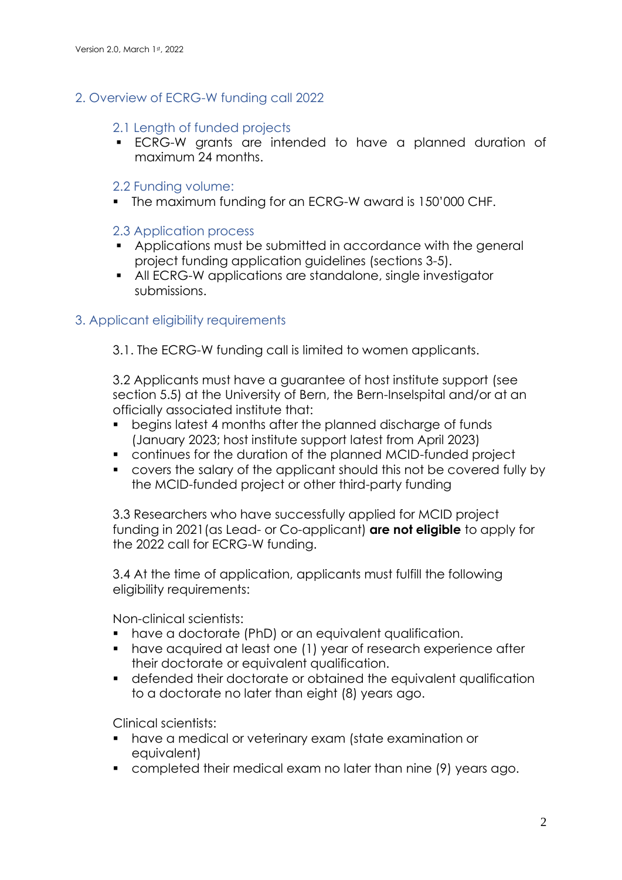## 2. Overview of ECRG-W funding call 2022

### 2.1 Length of funded projects

▪ ECRG-W grants are intended to have a planned duration of maximum 24 months.

## 2.2 Funding volume:

▪ The maximum funding for an ECRG-W award is 150'000 CHF.

## 2.3 Application process

- Applications must be submitted in accordance with the general project funding application guidelines (sections 3-5).
- All ECRG-W applications are standalone, single investigator submissions.

## 3. Applicant eligibility requirements

3.1. The ECRG-W funding call is limited to women applicants.

3.2 Applicants must have a guarantee of host institute support (see section 5.5) at the University of Bern, the Bern-Inselspital and/or at an officially associated institute that:

- begins latest 4 months after the planned discharge of funds (January 2023; host institute support latest from April 2023)
- continues for the duration of the planned MCID-funded project
- covers the salary of the applicant should this not be covered fully by the MCID-funded project or other third-party funding

3.3 Researchers who have successfully applied for MCID project funding in 2021(as Lead- or Co-applicant) **are not eligible** to apply for the 2022 call for ECRG-W funding.

3.4 At the time of application, applicants must fulfill the following eligibility requirements:

Non-clinical scientists:

- have a doctorate (PhD) or an equivalent qualification.
- have acquired at least one (1) year of research experience after their doctorate or equivalent qualification.
- defended their doctorate or obtained the equivalent qualification to a doctorate no later than eight (8) years ago.

Clinical scientists:

- have a medical or veterinary exam (state examination or equivalent)
- completed their medical exam no later than nine (9) years ago.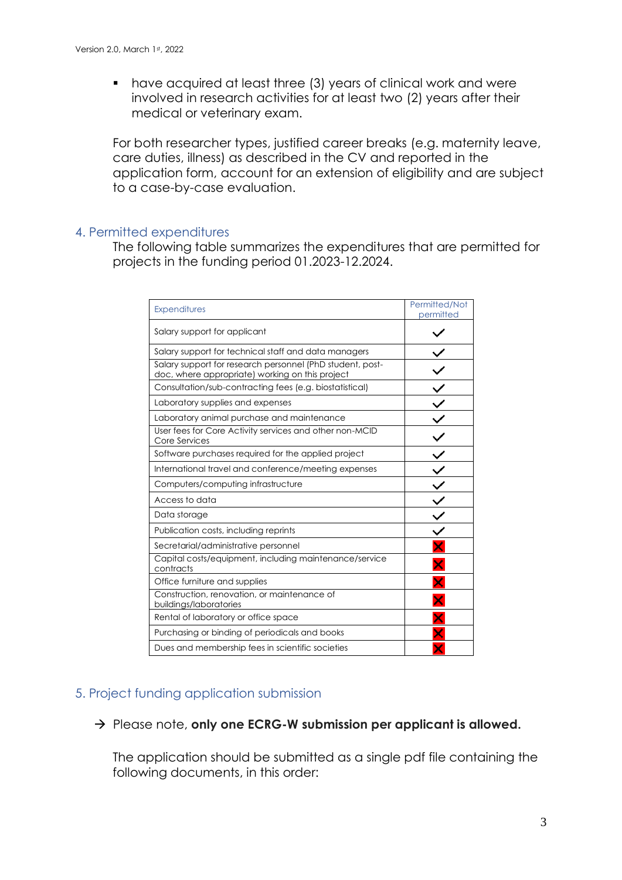■ have acquired at least three (3) years of clinical work and were involved in research activities for at least two (2) years after their medical or veterinary exam.

For both researcher types, justified career breaks (e.g. maternity leave, care duties, illness) as described in the CV and reported in the application form, account for an extension of eligibility and are subject to a case-by-case evaluation.

#### 4. Permitted expenditures

The following table summarizes the expenditures that are permitted for projects in the funding period 01.2023-12.2024.

| <b>Expenditures</b>                                                                                          | Permitted/Not<br>permitted |
|--------------------------------------------------------------------------------------------------------------|----------------------------|
| Salary support for applicant                                                                                 |                            |
| Salary support for technical staff and data managers                                                         |                            |
| Salary support for research personnel (PhD student, post-<br>doc, where appropriate) working on this project |                            |
| Consultation/sub-contracting fees (e.g. biostatistical)                                                      |                            |
| Laboratory supplies and expenses                                                                             | $\leq$                     |
| Laboratory animal purchase and maintenance                                                                   |                            |
| User fees for Core Activity services and other non-MCID<br>Core Services                                     |                            |
| Software purchases required for the applied project                                                          |                            |
| International travel and conference/meeting expenses                                                         |                            |
| Computers/computing infrastructure                                                                           | $\frac{v}{v}$              |
| Access to data                                                                                               |                            |
| Data storage                                                                                                 |                            |
| Publication costs, including reprints                                                                        |                            |
| Secretarial/administrative personnel                                                                         |                            |
| Capital costs/equipment, including maintenance/service<br>contracts                                          |                            |
| Office furniture and supplies                                                                                |                            |
| Construction, renovation, or maintenance of<br>buildings/laboratories                                        |                            |
| Rental of laboratory or office space                                                                         |                            |
| Purchasing or binding of periodicals and books                                                               |                            |
| Dues and membership fees in scientific societies                                                             |                            |

### 5. Project funding application submission

#### → Please note, **only one ECRG-W submission per applicant is allowed.**

The application should be submitted as a single pdf file containing the following documents, in this order: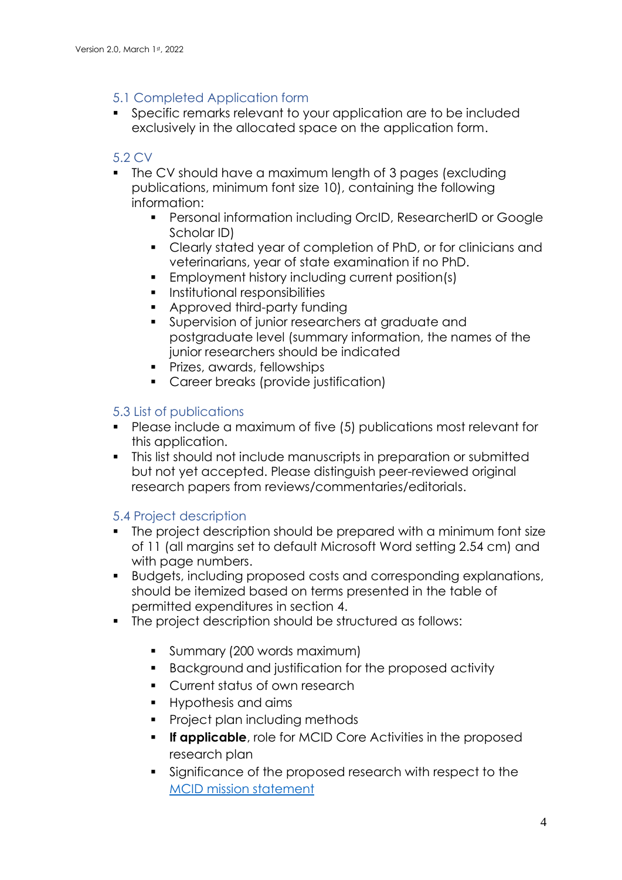## 5.1 Completed Application form

■ Specific remarks relevant to your application are to be included exclusively in the allocated space on the application form.

## 5.2 CV

- The CV should have a maximum length of 3 pages (excluding publications, minimum font size 10), containing the following information:
	- **Personal information including OrcID, ResearcherID or Google** Scholar ID)
	- Clearly stated year of completion of PhD, or for clinicians and veterinarians, year of state examination if no PhD.
	- Employment history including current position(s)
	- **•** Institutional responsibilities
	- Approved third-party funding
	- Supervision of junior researchers at graduate and postgraduate level (summary information, the names of the junior researchers should be indicated
	- **•** Prizes, awards, fellowships
	- Career breaks (provide justification)

## 5.3 List of publications

- Please include a maximum of five (5) publications most relevant for this application.
- This list should not include manuscripts in preparation or submitted but not yet accepted. Please distinguish peer-reviewed original research papers from reviews/commentaries/editorials.

## 5.4 Project description

- The project description should be prepared with a minimum font size of 11 (all margins set to default Microsoft Word setting 2.54 cm) and with page numbers.
- Budgets, including proposed costs and corresponding explanations, should be itemized based on terms presented in the table of permitted expenditures in section 4.
- The project description should be structured as follows:
	- **•** Summary (200 words maximum)
	- Background and justification for the proposed activity
	- Current status of own research
	- Hypothesis and aims
	- Project plan including methods
	- **.** If applicable, role for MCID Core Activities in the proposed research plan
	- Significance of the proposed research with respect to the [MCID mission statement](https://www.mcid.unibe.ch/about_us/mission/index_eng.html)